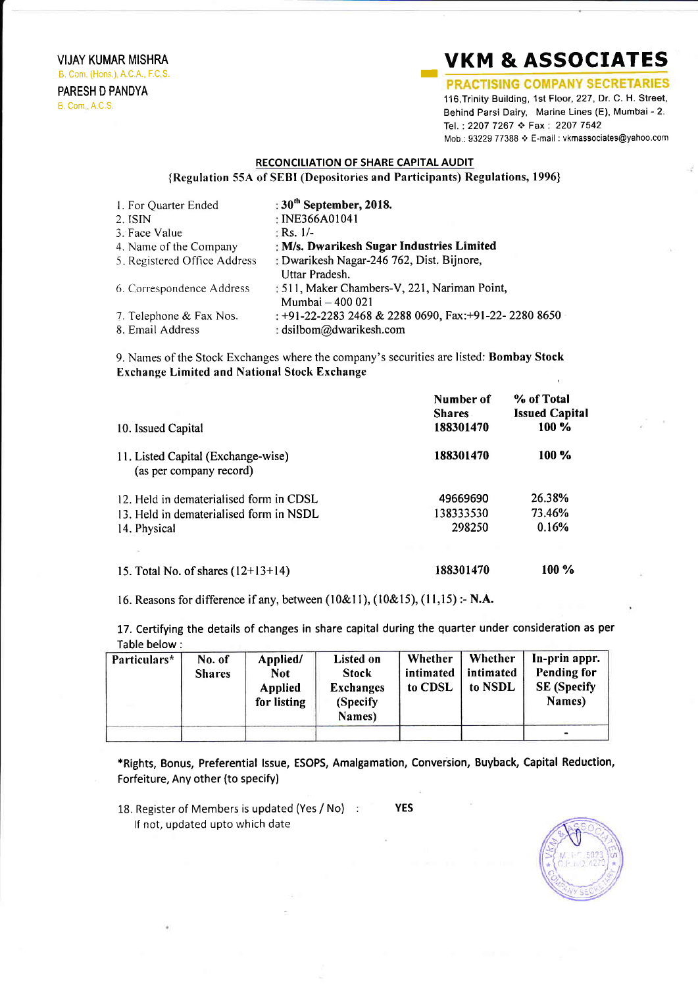VIJAY KUMAR MISHRA B, Com. (Hons.), A.C.A., F.C S. PARESH D PANDYA

## B. Com , A.C,S.

## **VKM & ASSOCIATES**<br>**PRACTISING COMPANY SECRETARIES**

116,Trinity Building, 1st Floor, 227, Dr. C. H. Street, Behind Parsi Dairy, Marine Lines (E), Mumbai - 2. Tel.: 2207 7267 ❖ Fax: 2207 7542 Mob.: 93229 77388 ♦ E-mail : vkmassociates@yahoo.com

## RECONCILIATION OF SHARE CAPITAL AUDIT

{Regulation 55A of SEBI (Depositories and Participants) Regulations, 1996}

| 1. For Quarter Ended         | : $30th$ September, 2018.                             |
|------------------------------|-------------------------------------------------------|
| 2. ISIN                      | : INE366A01041                                        |
| 3. Face Value                | : Rs. $1/-$                                           |
| 4. Name of the Company       | : M/s. Dwarikesh Sugar Industries Limited             |
| 5. Registered Office Address | : Dwarikesh Nagar-246 762, Dist. Bijnore,             |
|                              | Uttar Pradesh.                                        |
| 6. Correspondence Address    | : 511, Maker Chambers-V, 221, Nariman Point,          |
|                              | Mumbai - 400 021                                      |
| 7. Telephone & Fax Nos.      | : +91-22-2283 2468 & 2288 0690, Fax: +91-22-2280 8650 |
| 8. Email Address             | : dsilbom@dwarikesh.com                               |

9. Names of the Stock Exchanges where the company's securities are listed: Bombay Stock Exchange Limited and National Stock Exchange

| 10. Issued Capital                                                                                 | Number of<br><b>Shares</b><br>188301470 | % of Total<br><b>Issued Capital</b><br>$100 \%$ |
|----------------------------------------------------------------------------------------------------|-----------------------------------------|-------------------------------------------------|
| 11. Listed Capital (Exchange-wise)<br>(as per company record)                                      | 188301470                               | $100\%$                                         |
| 12. Held in dematerialised form in CDSL<br>13. Held in dematerialised form in NSDL<br>14. Physical | 49669690<br>138333530<br>298250         | 26.38%<br>73.46%<br>0.16%                       |
| 15. Total No. of shares $(12+13+14)$                                                               | 188301470                               | $100\%$                                         |

16. Reasons for difference if any, between (10&11), (10&15), (11,15) :- N.A.

17. Certifying the details of changes in share capital during the quarter under consideration as per Table below:

| Particulars* | No. of<br><b>Shares</b> | Applied/<br><b>Not</b><br><b>Applied</b><br>for listing | Listed on<br><b>Stock</b><br><b>Exchanges</b><br>(Specify)<br>Names) | Whether<br>intimated<br>to CDSL | Whether<br>intimated<br>to NSDL | In-prin appr.<br><b>Pending for</b><br><b>SE</b> (Specify<br>Names) |
|--------------|-------------------------|---------------------------------------------------------|----------------------------------------------------------------------|---------------------------------|---------------------------------|---------------------------------------------------------------------|
|              |                         |                                                         |                                                                      |                                 |                                 | $\bullet$                                                           |

\*Rights, Bonus, Preferential lssue, ESOPS, Amalgamation, Conversion, Buyback, Capital Reduction, Forfeiture, Any other (to specify)

18. Register of Members is updated (Yes / No) : lf not, updated upto which date

YES

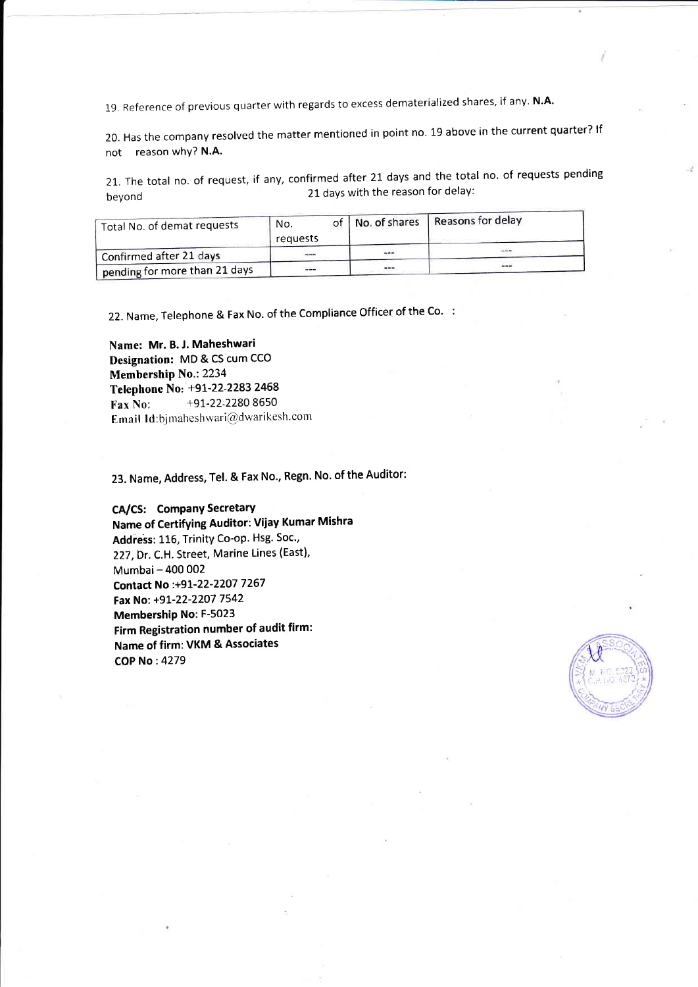19. Reference of previous quarter with regards to excess dematerialized shares, if any. N.A.

20. Has the company resolved the matter mentioned in point no. 19 above in the current quarter? If not reason why? N.A.

21. The total no. of request, if any, confirmed after 21 days and the total no. of requests pending beyond **21** days with the reason for delay:

| Total No. of demat requests   | No.<br>requests |  | of   No. of shares | Reasons for delay |  |
|-------------------------------|-----------------|--|--------------------|-------------------|--|
| Confirmed after 21 days       |                 |  |                    |                   |  |
| pending for more than 21 days | $-$             |  | $-$                |                   |  |

22. Name, Telephone & Fax No. of the Compliance Officer of the Co. :

Name: Mr. B. J. Maheshwari Designation: MD & CS cum CCO Membership No.:2234 Telephone No: +9L-22-2283 2458 Fax No:  $+91-22-22808650$ Email Id:bimaheshwari@dwarikesh.com

23. Name, Address, Tel. & Fax No., Regn. No. of the Auditor:

## CA/CS: Company Secretary

Name of Certifying Auditor: Vijay Kumar Mishra Address: 116, Trinity Co-op. Hsg. Soc., 227,Dr. C.H. Street, Marine Lines (East), Mumbai- 400 002 Contact No :+91-22-2207 7267 Fax No: +91-22-2207 7542 Membership No: F-5023 Firm Registration number of audit firm: Name of firm: VKM & Associates COP No:4279